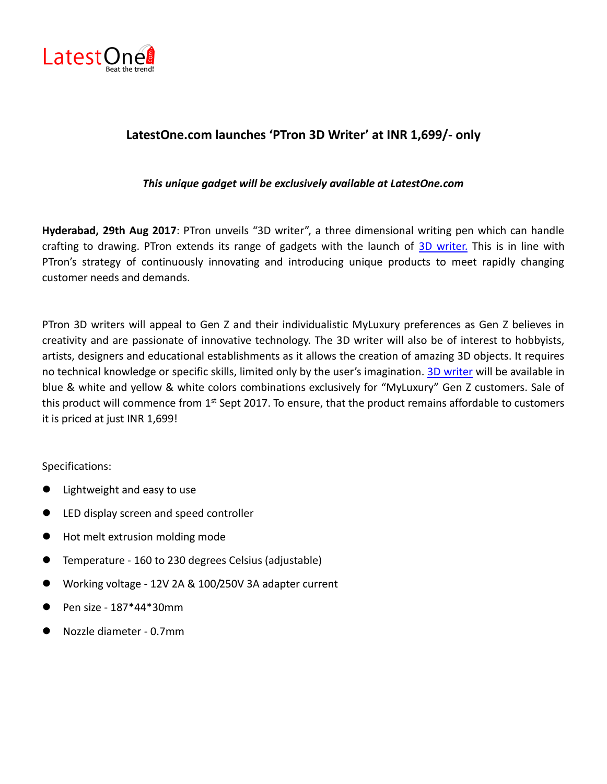

## **LatestOne.com launches 'PTron 3D Writer' at INR 1,699/- only**

*This unique gadget will be exclusively available at LatestOne.com*

**Hyderabad, 29th Aug 2017**: PTron unveils "3D writer", a three dimensional writing pen which can handle crafting to drawing. PTron extends its range of gadgets with the launch of [3D writer.](http://www.latestone.com/siteSearchNew?searchText=ptron+3d+writer) This is in line with PTron's strategy of continuously innovating and introducing unique products to meet rapidly changing customer needs and demands.

PTron 3D writers will appeal to Gen Z and their individualistic MyLuxury preferences as Gen Z believes in creativity and are passionate of innovative technology. The 3D writer will also be of interest to hobbyists, artists, designers and educational establishments as it allows the creation of amazing 3D objects. It requires no technical knowledge or specific skills, limited only by the user's imagination. [3D writer](http://www.latestone.com/siteSearchNew?searchText=ptron+3d+writer) will be available in blue & white and yellow & white colors combinations exclusively for "MyLuxury" Gen Z customers. Sale of this product will commence from 1<sup>st</sup> Sept 2017. To ensure, that the product remains affordable to customers it is priced at just INR 1,699!

Specifications:

- Lightweight and easy to use
- **•** LED display screen and speed controller
- Hot melt extrusion molding mode
- Temperature 160 to 230 degrees Celsius (adjustable)
- Working voltage 12V 2A & 100/250V 3A adapter current
- Pen size 187\*44\*30mm
- Nozzle diameter 0.7mm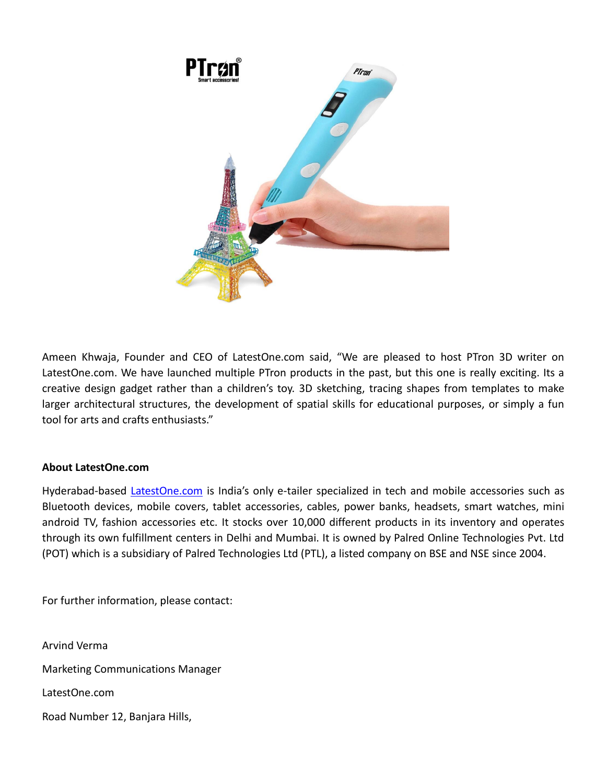

Ameen Khwaja, Founder and CEO of LatestOne.com said, "We are pleased to host PTron 3D writer on LatestOne.com. We have launched multiple PTron products in the past, but this one is really exciting. Its a creative design gadget rather than a children's toy. 3D sketching, tracing shapes from templates to make larger architectural structures, the development of spatial skills for educational purposes, or simply a fun tool for arts and crafts enthusiasts."

## **About LatestOne.com**

Hyderabad-based [LatestOne.com](http://www.latestone.com/) is India's only e-tailer specialized in tech and mobile accessories such as Bluetooth devices, mobile covers, tablet accessories, cables, power banks, headsets, smart watches, mini android TV, fashion accessories etc. It stocks over 10,000 different products in its inventory and operates through its own fulfillment centers in Delhi and Mumbai. It is owned by Palred Online Technologies Pvt. Ltd (POT) which is a subsidiary of Palred Technologies Ltd (PTL), a listed company on BSE and NSE since 2004.

For further information, please contact:

Arvind Verma Marketing Communications Manager LatestOne.com Road Number 12, Banjara Hills,